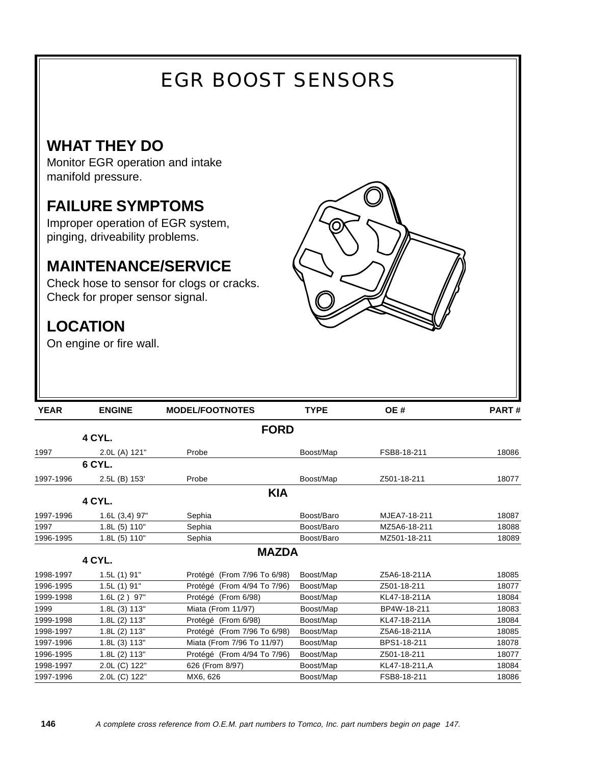# EGR BOOST SENSORS

## **WHAT THEY DO**

Monitor EGR operation and intake manifold pressure.

## **FAILURE SYMPTOMS**

Improper operation of EGR system, pinging, driveability problems.

### **MAINTENANCE/SERVICE**

Check hose to sensor for clogs or cracks. Check for proper sensor signal.

## **LOCATION**

On engine or fire wall.



| <b>YEAR</b> | <b>ENGINE</b>   | <b>MODEL/FOOTNOTES</b>      | <b>TYPE</b>                              | OE#           | PART# |
|-------------|-----------------|-----------------------------|------------------------------------------|---------------|-------|
|             |                 | <b>FORD</b>                 |                                          |               |       |
|             | 4 CYL.          |                             |                                          |               |       |
| 1997        | 2.0L (A) 121"   | Probe                       | Boost/Map                                | FSB8-18-211   | 18086 |
|             | 6 CYL.          |                             |                                          |               |       |
| 1997-1996   | 2.5L (B) 153'   | Probe                       | Boost/Map                                | Z501-18-211   | 18077 |
|             |                 | <b>KIA</b>                  |                                          |               |       |
|             | <b>4 CYL.</b>   |                             |                                          |               |       |
| 1997-1996   | $1.6L(3,4)$ 97" | Sephia                      | Boost/Baro                               | MJEA7-18-211  | 18087 |
| 1997        | 1.8L (5) 110"   | Sephia                      | Boost/Baro                               | MZ5A6-18-211  | 18088 |
| 1996-1995   | 1.8L (5) 110"   | Sephia                      | Boost/Baro                               | MZ501-18-211  | 18089 |
|             |                 | <b>MAZDA</b>                |                                          |               |       |
|             | 4 CYL.          |                             |                                          |               |       |
| 1998-1997   | $1.5L(1)$ 91"   | Protégé (From 7/96 To 6/98) | Boost/Map                                | Z5A6-18-211A  | 18085 |
| 1996-1995   | $1.5L(1)$ 91"   |                             | Protégé (From 4/94 To 7/96)<br>Boost/Map |               | 18077 |
| 1999-1998   | $1.6L(2)$ 97"   | Protégé (From 6/98)         | Boost/Map<br>KL47-18-211A                |               | 18084 |
| 1999        | 1.8L (3) 113"   | Miata (From 11/97)          | Boost/Map<br>BP4W-18-211                 |               | 18083 |
| 1999-1998   | 1.8L (2) 113"   | Protégé (From 6/98)         | Boost/Map                                | KL47-18-211A  | 18084 |
| 1998-1997   | 1.8L (2) 113"   | Protégé (From 7/96 To 6/98) | Boost/Map                                | Z5A6-18-211A  | 18085 |
| 1997-1996   | 1.8L (3) 113"   | Miata (From 7/96 To 11/97)  | Boost/Map                                | BPS1-18-211   | 18078 |
| 1996-1995   | 1.8L (2) 113"   | Protégé (From 4/94 To 7/96) | Boost/Map                                | Z501-18-211   | 18077 |
| 1998-1997   | 2.0L (C) 122"   | 626 (From 8/97)             | Boost/Map                                | KL47-18-211,A | 18084 |
| 1997-1996   | 2.0L (C) 122"   | MX6, 626                    | Boost/Map                                | FSB8-18-211   | 18086 |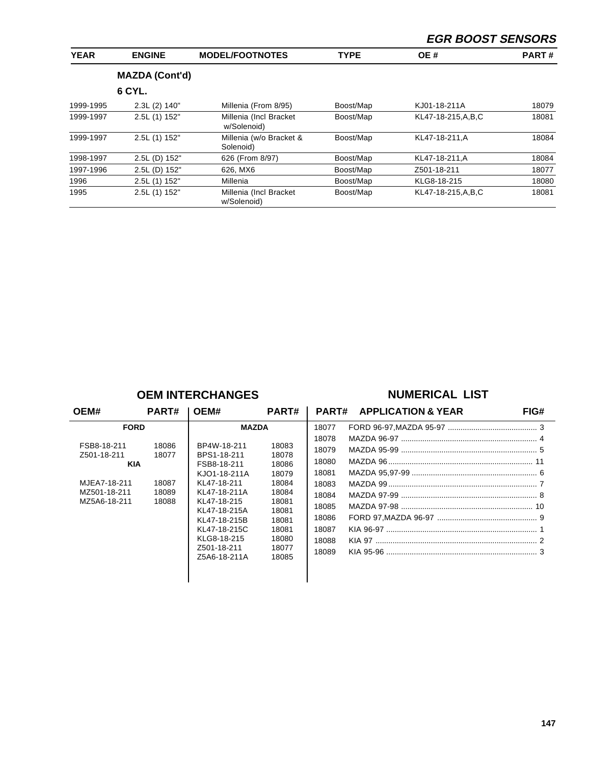#### **EGR BOOST SENSORS**

| <b>YEAR</b> | <b>ENGINE</b>         | <b>MODEL/FOOTNOTES</b>                 | <b>TYPE</b> | OE #                 | <b>PART#</b> |  |
|-------------|-----------------------|----------------------------------------|-------------|----------------------|--------------|--|
|             | <b>MAZDA (Cont'd)</b> |                                        |             |                      |              |  |
|             | 6 CYL.                |                                        |             |                      |              |  |
| 1999-1995   | 2.3L (2) 140"         | Millenia (From 8/95)                   | Boost/Map   | KJ01-18-211A         | 18079        |  |
| 1999-1997   | 2.5L (1) 152"         | Millenia (Incl Bracket)<br>w/Solenoid) | Boost/Map   | KL47-18-215, A, B, C | 18081        |  |
| 1999-1997   | 2.5L (1) 152"         | Millenia (w/o Bracket &<br>Solenoid)   | Boost/Map   | KL47-18-211.A        | 18084        |  |
| 1998-1997   | 2.5L (D) 152"         | 626 (From 8/97)                        | Boost/Map   | KL47-18-211, A       | 18084        |  |
| 1997-1996   | 2.5L (D) 152"         | 626, MX6                               | Boost/Map   | Z501-18-211          | 18077        |  |
| 1996        | 2.5L (1) 152"         | Millenia                               | Boost/Map   | KLG8-18-215          | 18080        |  |
| 1995        | 2.5L (1) 152"         | Millenia (Incl Bracket)<br>w/Solenoid) | Boost/Map   | KL47-18-215, A, B, C | 18081        |  |

#### **OEM INTERCHANGES NUMERICAL LIST**

| <b>APPLICATION &amp; YEAR</b><br>FIG# | PART#                                                                                                    | PART#                                                                                                    | OEM#                                                                                                                                                                                                  | PART#                                     | OEM#                                                                                                    |
|---------------------------------------|----------------------------------------------------------------------------------------------------------|----------------------------------------------------------------------------------------------------------|-------------------------------------------------------------------------------------------------------------------------------------------------------------------------------------------------------|-------------------------------------------|---------------------------------------------------------------------------------------------------------|
|                                       | 18077<br>18078<br>18079<br>18080<br>18081<br>18083<br>18084<br>18085<br>18086<br>18087<br>18088<br>18089 | 18083<br>18078<br>18086<br>18079<br>18084<br>18084<br>18081<br>18081<br>18081<br>18081<br>18080<br>18077 | <b>MAZDA</b><br>BP4W-18-211<br>BPS1-18-211<br>FSB8-18-211<br>KJO1-18-211A<br>KL47-18-211<br>KL47-18-211A<br>KL47-18-215<br>KL47-18-215A<br>KL47-18-215B<br>KL47-18-215C<br>KLG8-18-215<br>Z501-18-211 | 18086<br>18077<br>18087<br>18089<br>18088 | <b>FORD</b><br>FSB8-18-211<br>Z501-18-211<br><b>KIA</b><br>MJEA7-18-211<br>MZ501-18-211<br>MZ5A6-18-211 |
|                                       |                                                                                                          | 18085                                                                                                    | Z5A6-18-211A                                                                                                                                                                                          |                                           |                                                                                                         |